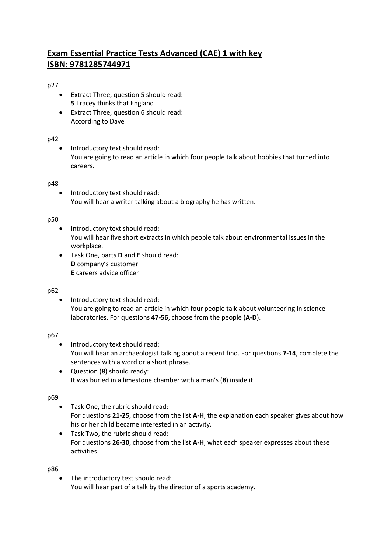# **Exam Essential Practice Tests Advanced (CAE) 1 with key ISBN: 9781285744971**

# p27

- Extract Three, question 5 should read: **5** Tracey thinks that England
- Extract Three, question 6 should read: According to Dave

### p42

• Introductory text should read: You are going to read an article in which four people talk about hobbies that turned into careers.

## p48

• Introductory text should read: You will hear a writer talking about a biography he has written.

### p50

- Introductory text should read: You will hear five short extracts in which people talk about environmental issues in the workplace.
- Task One, parts **D** and **E** should read: **D** company's customer **E** careers advice officer

### p62

 Introductory text should read: You are going to read an article in which four people talk about volunteering in science laboratories. For questions **47-56**, choose from the people (**A-D**).

# p67

- Introductory text should read: You will hear an archaeologist talking about a recent find. For questions **7-14**, complete the sentences with a word or a short phrase.
- Question (**8**) should ready: It was buried in a limestone chamber with a man's (**8**) inside it.

# p69

- Task One, the rubric should read: For questions **21-25**, choose from the list **A-H**, the explanation each speaker gives about how his or her child became interested in an activity.
- Task Two, the rubric should read: For questions **26-30**, choose from the list **A-H**, what each speaker expresses about these activities.

p86

 The introductory text should read: You will hear part of a talk by the director of a sports academy.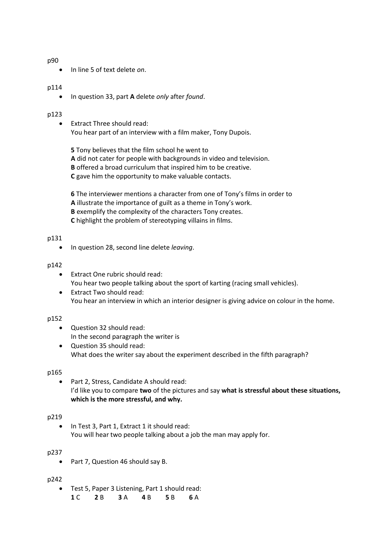#### p90

In line 5 of text delete *on*.

#### p114

In question 33, part **A** delete *only* after *found*.

#### p123

 Extract Three should read: You hear part of an interview with a film maker, Tony Dupois.

**5** Tony believes that the film school he went to **A** did not cater for people with backgrounds in video and television. **B** offered a broad curriculum that inspired him to be creative. **C** gave him the opportunity to make valuable contacts.

**6** The interviewer mentions a character from one of Tony's films in order to **A** illustrate the importance of guilt as a theme in Tony's work. **B** exemplify the complexity of the characters Tony creates. **C** highlight the problem of stereotyping villains in films.

#### p131

In question 28, second line delete *leaving*.

#### p142

- Extract One rubric should read: You hear two people talking about the sport of karting (racing small vehicles).
- Extract Two should read: You hear an interview in which an interior designer is giving advice on colour in the home.

#### p152

- Question 32 should read: In the second paragraph the writer is
- Question 35 should read: What does the writer say about the experiment described in the fifth paragraph?

### p165

 Part 2, Stress, Candidate A should read: I'd like you to compare **two** of the pictures and say **what is stressful about these situations, which is the more stressful, and why.**

#### p219

• In Test 3, Part 1, Extract 1 it should read: You will hear two people talking about a job the man may apply for.

#### p237

• Part 7, Question 46 should say B.

#### p242

 Test 5, Paper 3 Listening, Part 1 should read: **1** C **2** B **3** A **4** B **5** B **6** A